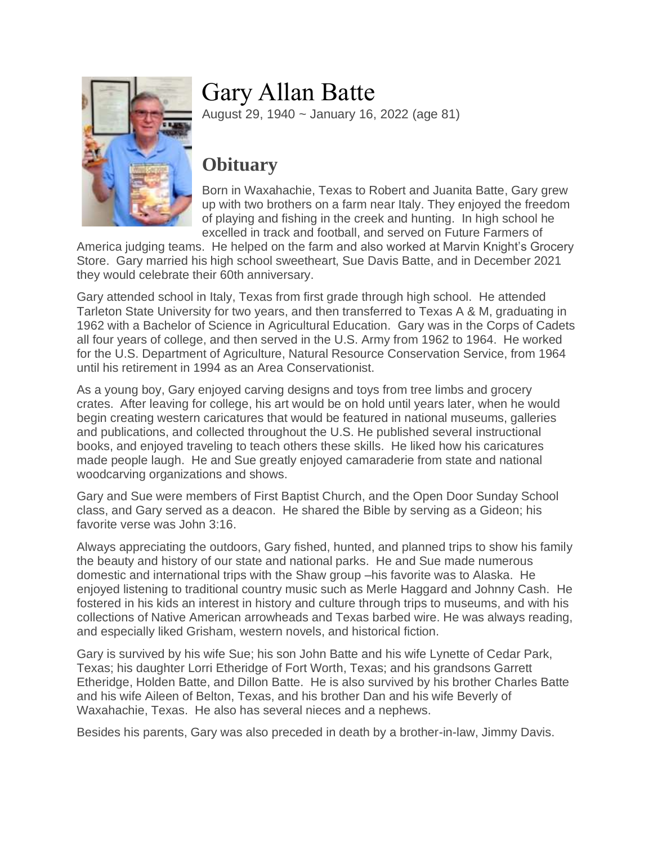

## Gary Allan Batte

August 29, 1940 ~ January 16, 2022 (age 81)

## **Obituary**

Born in Waxahachie, Texas to Robert and Juanita Batte, Gary grew up with two brothers on a farm near Italy. They enjoyed the freedom of playing and fishing in the creek and hunting. In high school he excelled in track and football, and served on Future Farmers of

America judging teams. He helped on the farm and also worked at Marvin Knight's Grocery Store. Gary married his high school sweetheart, Sue Davis Batte, and in December 2021 they would celebrate their 60th anniversary.

Gary attended school in Italy, Texas from first grade through high school. He attended Tarleton State University for two years, and then transferred to Texas A & M, graduating in 1962 with a Bachelor of Science in Agricultural Education. Gary was in the Corps of Cadets all four years of college, and then served in the U.S. Army from 1962 to 1964. He worked for the U.S. Department of Agriculture, Natural Resource Conservation Service, from 1964 until his retirement in 1994 as an Area Conservationist.

As a young boy, Gary enjoyed carving designs and toys from tree limbs and grocery crates. After leaving for college, his art would be on hold until years later, when he would begin creating western caricatures that would be featured in national museums, galleries and publications, and collected throughout the U.S. He published several instructional books, and enjoyed traveling to teach others these skills. He liked how his caricatures made people laugh. He and Sue greatly enjoyed camaraderie from state and national woodcarving organizations and shows.

Gary and Sue were members of First Baptist Church, and the Open Door Sunday School class, and Gary served as a deacon. He shared the Bible by serving as a Gideon; his favorite verse was John 3:16.

Always appreciating the outdoors, Gary fished, hunted, and planned trips to show his family the beauty and history of our state and national parks. He and Sue made numerous domestic and international trips with the Shaw group –his favorite was to Alaska. He enjoyed listening to traditional country music such as Merle Haggard and Johnny Cash. He fostered in his kids an interest in history and culture through trips to museums, and with his collections of Native American arrowheads and Texas barbed wire. He was always reading, and especially liked Grisham, western novels, and historical fiction.

Gary is survived by his wife Sue; his son John Batte and his wife Lynette of Cedar Park, Texas; his daughter Lorri Etheridge of Fort Worth, Texas; and his grandsons Garrett Etheridge, Holden Batte, and Dillon Batte. He is also survived by his brother Charles Batte and his wife Aileen of Belton, Texas, and his brother Dan and his wife Beverly of Waxahachie, Texas. He also has several nieces and a nephews.

Besides his parents, Gary was also preceded in death by a brother-in-law, Jimmy Davis.